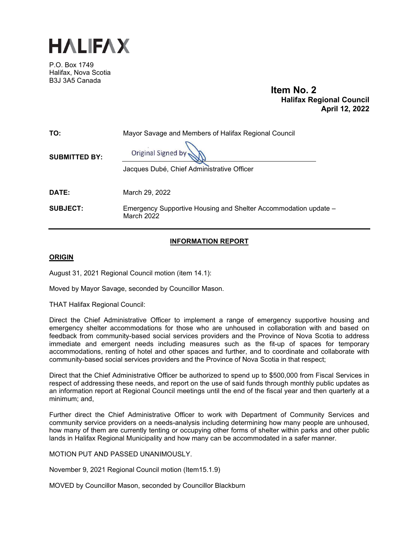

P.O. Box 1749 Halifax, Nova Scotia B3J 3A5 Canada

**Item No. 2 Halifax Regional Council April 12, 2022** 

| TO:                  | Mayor Savage and Members of Halifax Regional Council                          |
|----------------------|-------------------------------------------------------------------------------|
| <b>SUBMITTED BY:</b> | Original Signed by<br>Jacques Dubé, Chief Administrative Officer              |
| <b>DATE:</b>         | March 29, 2022                                                                |
| <b>SUBJECT:</b>      | Emergency Supportive Housing and Shelter Accommodation update -<br>March 2022 |

# **INFORMATION REPORT**

# **ORIGIN**

August 31, 2021 Regional Council motion (item 14.1):

Moved by Mayor Savage, seconded by Councillor Mason.

THAT Halifax Regional Council:

Direct the Chief Administrative Officer to implement a range of emergency supportive housing and emergency shelter accommodations for those who are unhoused in collaboration with and based on feedback from community-based social services providers and the Province of Nova Scotia to address immediate and emergent needs including measures such as the fit-up of spaces for temporary accommodations, renting of hotel and other spaces and further, and to coordinate and collaborate with community-based social services providers and the Province of Nova Scotia in that respect;

Direct that the Chief Administrative Officer be authorized to spend up to \$500,000 from Fiscal Services in respect of addressing these needs, and report on the use of said funds through monthly public updates as an information report at Regional Council meetings until the end of the fiscal year and then quarterly at a minimum; and,

Further direct the Chief Administrative Officer to work with Department of Community Services and community service providers on a needs-analysis including determining how many people are unhoused, how many of them are currently tenting or occupying other forms of shelter within parks and other public lands in Halifax Regional Municipality and how many can be accommodated in a safer manner.

MOTION PUT AND PASSED UNANIMOUSLY.

November 9, 2021 Regional Council motion (Item15.1.9)

MOVED by Councillor Mason, seconded by Councillor Blackburn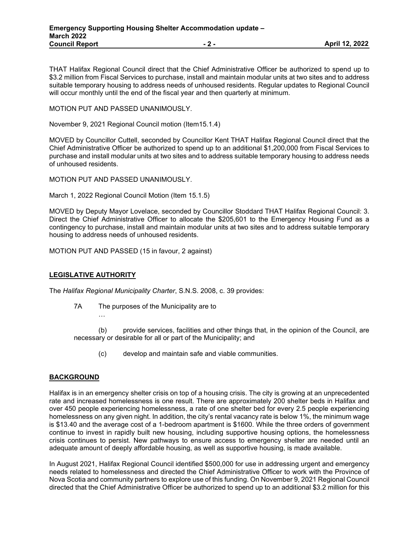THAT Halifax Regional Council direct that the Chief Administrative Officer be authorized to spend up to \$3.2 million from Fiscal Services to purchase, install and maintain modular units at two sites and to address suitable temporary housing to address needs of unhoused residents. Regular updates to Regional Council will occur monthly until the end of the fiscal year and then quarterly at minimum.

MOTION PUT AND PASSED UNANIMOUSLY.

November 9, 2021 Regional Council motion (Item15.1.4)

MOVED by Councillor Cuttell, seconded by Councillor Kent THAT Halifax Regional Council direct that the Chief Administrative Officer be authorized to spend up to an additional \$1,200,000 from Fiscal Services to purchase and install modular units at two sites and to address suitable temporary housing to address needs of unhoused residents.

MOTION PUT AND PASSED UNANIMOUSLY.

March 1, 2022 Regional Council Motion (Item 15.1.5)

MOVED by Deputy Mayor Lovelace, seconded by Councillor Stoddard THAT Halifax Regional Council: 3. Direct the Chief Administrative Officer to allocate the \$205,601 to the Emergency Housing Fund as a contingency to purchase, install and maintain modular units at two sites and to address suitable temporary housing to address needs of unhoused residents.

MOTION PUT AND PASSED (15 in favour, 2 against)

### **LEGISLATIVE AUTHORITY**

…

The *Halifax Regional Municipality Charter*, S.N.S. 2008, c. 39 provides:

7A The purposes of the Municipality are to

(b) provide services, facilities and other things that, in the opinion of the Council, are necessary or desirable for all or part of the Municipality; and

(c) develop and maintain safe and viable communities.

### **BACKGROUND**

Halifax is in an emergency shelter crisis on top of a housing crisis. The city is growing at an unprecedented rate and increased homelessness is one result. There are approximately 200 shelter beds in Halifax and over 450 people experiencing homelessness, a rate of one shelter bed for every 2.5 people experiencing homelessness on any given night. In addition, the city's rental vacancy rate is below 1%, the minimum wage is \$13.40 and the average cost of a 1-bedroom apartment is \$1600. While the three orders of government continue to invest in rapidly built new housing, including supportive housing options, the homelessness crisis continues to persist. New pathways to ensure access to emergency shelter are needed until an adequate amount of deeply affordable housing, as well as supportive housing, is made available.

In August 2021, Halifax Regional Council identified \$500,000 for use in addressing urgent and emergency needs related to homelessness and directed the Chief Administrative Officer to work with the Province of Nova Scotia and community partners to explore use of this funding. On November 9, 2021 Regional Council directed that the Chief Administrative Officer be authorized to spend up to an additional \$3.2 million for this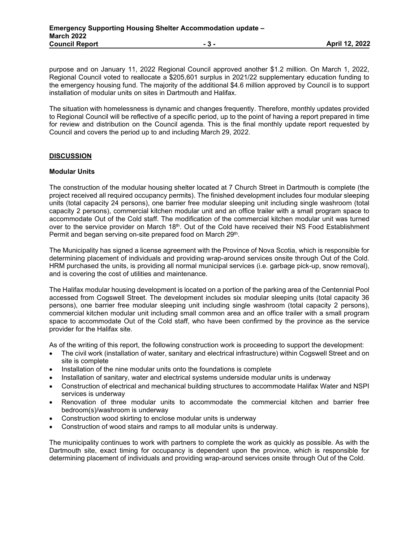purpose and on January 11, 2022 Regional Council approved another \$1.2 million. On March 1, 2022, Regional Council voted to reallocate a \$205,601 surplus in 2021/22 supplementary education funding to the emergency housing fund. The majority of the additional \$4.6 million approved by Council is to support installation of modular units on sites in Dartmouth and Halifax.

The situation with homelessness is dynamic and changes frequently. Therefore, monthly updates provided to Regional Council will be reflective of a specific period, up to the point of having a report prepared in time for review and distribution on the Council agenda. This is the final monthly update report requested by Council and covers the period up to and including March 29, 2022.

### **DISCUSSION**

### **Modular Units**

The construction of the modular housing shelter located at 7 Church Street in Dartmouth is complete (the project received all required occupancy permits). The finished development includes four modular sleeping units (total capacity 24 persons), one barrier free modular sleeping unit including single washroom (total capacity 2 persons), commercial kitchen modular unit and an office trailer with a small program space to accommodate Out of the Cold staff. The modification of the commercial kitchen modular unit was turned over to the service provider on March 18<sup>th</sup>. Out of the Cold have received their NS Food Establishment Permit and began serving on-site prepared food on March 29<sup>th</sup>.

The Municipality has signed a license agreement with the Province of Nova Scotia, which is responsible for determining placement of individuals and providing wrap-around services onsite through Out of the Cold. HRM purchased the units, is providing all normal municipal services (i.e. garbage pick-up, snow removal), and is covering the cost of utilities and maintenance.

The Halifax modular housing development is located on a portion of the parking area of the Centennial Pool accessed from Cogswell Street. The development includes six modular sleeping units (total capacity 36 persons), one barrier free modular sleeping unit including single washroom (total capacity 2 persons), commercial kitchen modular unit including small common area and an office trailer with a small program space to accommodate Out of the Cold staff, who have been confirmed by the province as the service provider for the Halifax site.

As of the writing of this report, the following construction work is proceeding to support the development:

- The civil work (installation of water, sanitary and electrical infrastructure) within Cogswell Street and on site is complete
- Installation of the nine modular units onto the foundations is complete
- Installation of sanitary, water and electrical systems underside modular units is underway
- Construction of electrical and mechanical building structures to accommodate Halifax Water and NSPI services is underway
- Renovation of three modular units to accommodate the commercial kitchen and barrier free bedroom(s)/washroom is underway
- Construction wood skirting to enclose modular units is underway
- Construction of wood stairs and ramps to all modular units is underway.

The municipality continues to work with partners to complete the work as quickly as possible. As with the Dartmouth site, exact timing for occupancy is dependent upon the province, which is responsible for determining placement of individuals and providing wrap-around services onsite through Out of the Cold.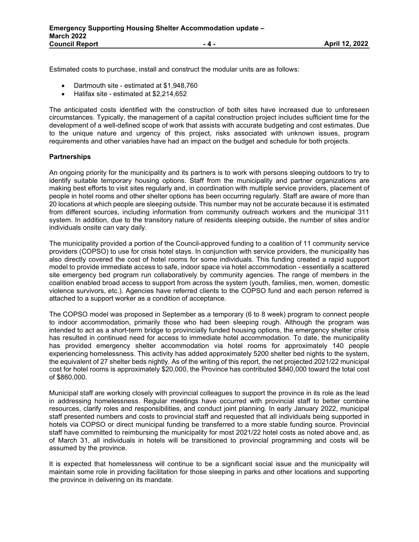Estimated costs to purchase, install and construct the modular units are as follows:

- Dartmouth site estimated at \$1,948,760
- Halifax site estimated at \$2,214,652

The anticipated costs identified with the construction of both sites have increased due to unforeseen circumstances. Typically, the management of a capital construction project includes sufficient time for the development of a well-defined scope of work that assists with accurate budgeting and cost estimates. Due to the unique nature and urgency of this project, risks associated with unknown issues, program requirements and other variables have had an impact on the budget and schedule for both projects.

#### **Partnerships**

An ongoing priority for the municipality and its partners is to work with persons sleeping outdoors to try to identify suitable temporary housing options. Staff from the municipality and partner organizations are making best efforts to visit sites regularly and, in coordination with multiple service providers, placement of people in hotel rooms and other shelter options has been occurring regularly. Staff are aware of more than 20 locations at which people are sleeping outside. This number may not be accurate because it is estimated from different sources, including information from community outreach workers and the municipal 311 system. In addition, due to the transitory nature of residents sleeping outside, the number of sites and/or individuals onsite can vary daily.

The municipality provided a portion of the Council-approved funding to a coalition of 11 community service providers (COPSO) to use for crisis hotel stays. In conjunction with service providers, the municipality has also directly covered the cost of hotel rooms for some individuals. This funding created a rapid support model to provide immediate access to safe, indoor space via hotel accommodation - essentially a scattered site emergency bed program run collaboratively by community agencies. The range of members in the coalition enabled broad access to support from across the system (youth, families, men, women, domestic violence survivors, etc.). Agencies have referred clients to the COPSO fund and each person referred is attached to a support worker as a condition of acceptance.

The COPSO model was proposed in September as a temporary (6 to 8 week) program to connect people to indoor accommodation, primarily those who had been sleeping rough. Although the program was intended to act as a short-term bridge to provincially funded housing options, the emergency shelter crisis has resulted in continued need for access to immediate hotel accommodation. To date, the municipality has provided emergency shelter accommodation via hotel rooms for approximately 140 people experiencing homelessness. This activity has added approximately 5200 shelter bed nights to the system, the equivalent of 27 shelter beds nightly. As of the writing of this report, the net projected 2021/22 municipal cost for hotel rooms is approximately \$20,000, the Province has contributed \$840,000 toward the total cost of \$860,000.

Municipal staff are working closely with provincial colleagues to support the province in its role as the lead in addressing homelessness. Regular meetings have occurred with provincial staff to better combine resources, clarify roles and responsibilities, and conduct joint planning. In early January 2022, municipal staff presented numbers and costs to provincial staff and requested that all individuals being supported in hotels via COPSO or direct municipal funding be transferred to a more stable funding source. Provincial staff have committed to reimbursing the municipality for most 2021/22 hotel costs as noted above and, as of March 31, all individuals in hotels will be transitioned to provincial programming and costs will be assumed by the province.

It is expected that homelessness will continue to be a significant social issue and the municipality will maintain some role in providing facilitation for those sleeping in parks and other locations and supporting the province in delivering on its mandate.